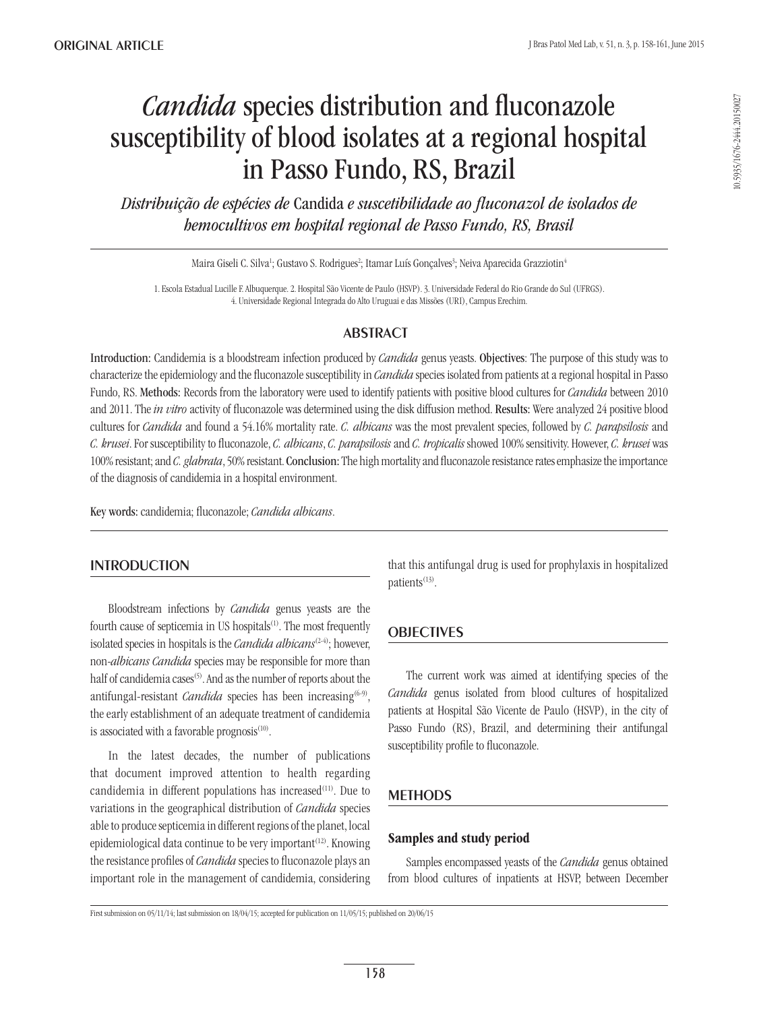# *Candida* species distribution and fluconazole susceptibility of blood isolates at a regional hospital in Passo Fundo, RS, Brazil

*Distribuição de espécies de* Candida *e suscetibilidade ao fluconazol de isolados de hemocultivos em hospital regional de Passo Fundo, RS, Brasil*

Maira Giseli C. Silva<sup>1</sup>; Gustavo S. Rodrigues<sup>2</sup>; Itamar Luís Gonçalves<sup>3</sup>; Neiva Aparecida Grazziotin<sup>4</sup>

1. Escola Estadual Lucille F. Albuquerque. 2. Hospital São Vicente de Paulo (HSVP). 3. Universidade Federal do Rio Grande do Sul (UFRGS). 4. Universidade Regional Integrada do Alto Uruguai e das Missões (URI), Campus Erechim.

## **ABSTRACT**

Introduction: Candidemia is a bloodstream infection produced by *Candida* genus yeasts. Objectives: The purpose of this study was to characterize the epidemiology and the fluconazole susceptibility in *Candida* species isolated from patients at a regional hospital in Passo Fundo, RS. Methods: Records from the laboratory were used to identify patients with positive blood cultures for *Candida* between 2010 and 2011. The *in vitro* activity of fluconazole was determined using the disk diffusion method. Results: Were analyzed 24 positive blood cultures for *Candida* and found a 54.16% mortality rate. *C. albicans* was the most prevalent species, followed by *C. parapsilosis* and *C. krusei*. For susceptibility to fluconazole, *C. albicans*, *C. parapsilosis* and *C. tropicalis* showed 100% sensitivity. However, *C. krusei* was 100% resistant; and *C. glabrata*, 50% resistant. Conclusion: The high mortality and fluconazole resistance rates emphasize the importance of the diagnosis of candidemia in a hospital environment.

Key words: candidemia; fluconazole; *Candida albicans*.

## **INTRODUCTION**

Bloodstream infections by *Candida* genus yeasts are the fourth cause of septicemia in US hospitals $(1)$ . The most frequently isolated species in hospitals is the *Candida albicans*(2-4); however, non-*albicans Candida* species may be responsible for more than half of candidemia cases<sup>(5)</sup>. And as the number of reports about the antifungal-resistant *Candida* species has been increasing<sup>(6-9)</sup>, the early establishment of an adequate treatment of candidemia is associated with a favorable prognosis<sup>(10)</sup>.

In the latest decades, the number of publications that document improved attention to health regarding candidemia in different populations has increased<sup>(11)</sup>. Due to variations in the geographical distribution of *Candida* species able to produce septicemia in different regions of the planet, local epidemiological data continue to be very important<sup> $(12)$ </sup>. Knowing the resistance profiles of *Candida* species to fluconazole plays an important role in the management of candidemia, considering that this antifungal drug is used for prophylaxis in hospitalized patients<sup>(13)</sup>.

## **OBJECTIVES**

The current work was aimed at identifying species of the *Candida* genus isolated from blood cultures of hospitalized patients at Hospital São Vicente de Paulo (HSVP), in the city of Passo Fundo (RS), Brazil, and determining their antifungal susceptibility profile to fluconazole.

## **METHODS**

### Samples and study period

Samples encompassed yeasts of the *Candida* genus obtained from blood cultures of inpatients at HSVP, between December

First submission on 05/11/14; last submission on 18/04/15; accepted for publication on 11/05/15; published on 20/06/15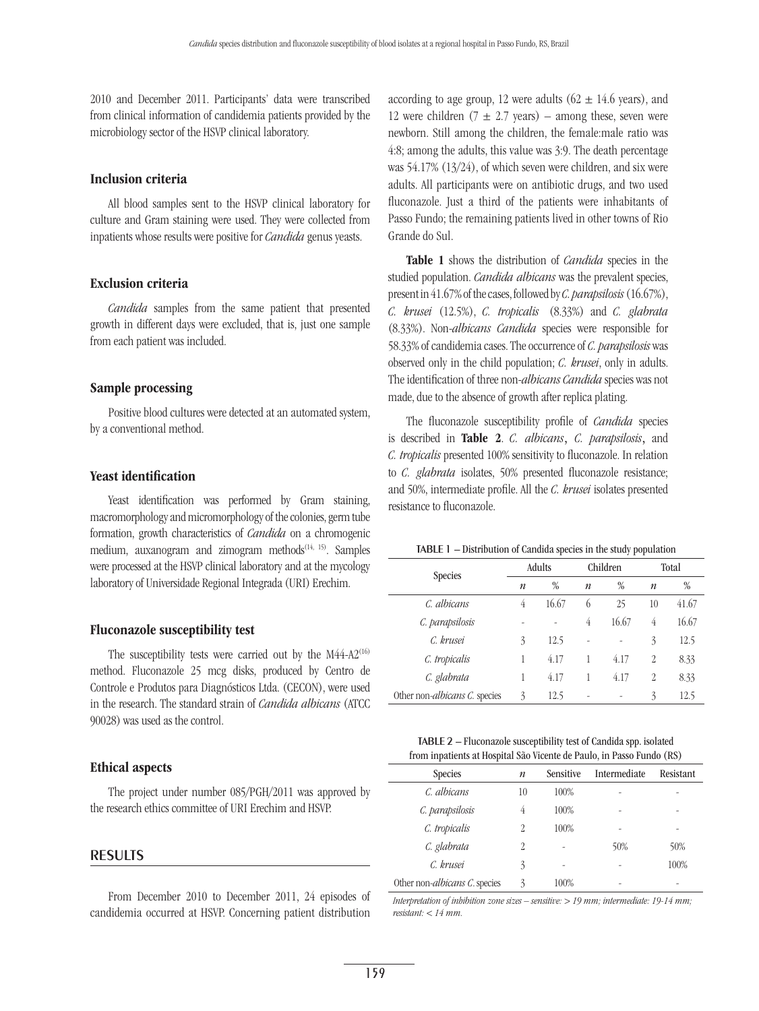2010 and December 2011. Participants' data were transcribed from clinical information of candidemia patients provided by the microbiology sector of the HSVP clinical laboratory.

#### Inclusion criteria

All blood samples sent to the HSVP clinical laboratory for culture and Gram staining were used. They were collected from inpatients whose results were positive for *Candida* genus yeasts.

#### Exclusion criteria

*Candida* samples from the same patient that presented growth in different days were excluded, that is, just one sample from each patient was included.

#### Sample processing

Positive blood cultures were detected at an automated system, by a conventional method.

#### Yeast identification

Yeast identification was performed by Gram staining, macromorphology and micromorphology of the colonies, germ tube formation, growth characteristics of *Candida* on a chromogenic medium, auxanogram and zimogram methods<sup>(14, 15)</sup>. Samples were processed at the HSVP clinical laboratory and at the mycology laboratory of Universidade Regional Integrada (URI) Erechim.

#### Fluconazole susceptibility test

The susceptibility tests were carried out by the  $M44-A2^{(16)}$ method. Fluconazole 25 mcg disks, produced by Centro de Controle e Produtos para Diagnósticos Ltda. (CECON), were used in the research. The standard strain of *Candida albicans* (ATCC 90028) was used as the control.

#### Ethical aspects

The project under number 085/PGH/2011 was approved by the research ethics committee of URI Erechim and HSVP.

#### **RESULTS**

From December 2010 to December 2011, 24 episodes of candidemia occurred at HSVP. Concerning patient distribution

according to age group, 12 were adults ( $62 \pm 14.6$  years), and 12 were children  $(7 \pm 2.7 \text{ years})$  – among these, seven were newborn. Still among the children, the female:male ratio was 4:8; among the adults, this value was 3:9. The death percentage was 54.17% (13/24), of which seven were children, and six were adults. All participants were on antibiotic drugs, and two used fluconazole. Just a third of the patients were inhabitants of Passo Fundo; the remaining patients lived in other towns of Rio Grande do Sul.

Table 1 shows the distribution of *Candida* species in the studied population. *Candida albicans* was the prevalent species, present in 41.67% of the cases, followed by *C. parapsilosis* (16.67%), *C. krusei* (12.5%), *C. tropicalis* (8.33%) and *C. glabrata*  (8.33%). Non-*albicans Candida* species were responsible for 58.33% of candidemia cases. The occurrence of *C. parapsilosis* was observed only in the child population; *C. krusei*, only in adults. The identification of three non-*albicans Candida* species was not made, due to the absence of growth after replica plating.

The fluconazole susceptibility profile of *Candida* species is described in Table 2. *C. albicans*, *C. parapsilosis*, and *C. tropicalis* presented 100% sensitivity to fluconazole. In relation to *C. glabrata* isolates, 50% presented fluconazole resistance; and 50%, intermediate profile. All the *C. krusei* isolates presented resistance to fluconazole.

Table 1 – Distribution of Candida species in the study population

| <b>Species</b>                         | Adults           |       | Children         |       | Total            |       |
|----------------------------------------|------------------|-------|------------------|-------|------------------|-------|
|                                        | $\boldsymbol{n}$ | %     | $\boldsymbol{n}$ | %     | $\boldsymbol{n}$ | %     |
| C. albicans                            | 4                | 16.67 | 6                | 25    | 10               | 41.67 |
| C. parapsilosis                        |                  |       | 4                | 16.67 | 4                | 16.67 |
| C. krusei                              | 3                | 12.5  |                  |       | $\overline{3}$   | 12.5  |
| C. tropicalis                          |                  | 4.17  |                  | 4.17  | $\overline{2}$   | 8.33  |
| C. glabrata                            |                  | 4.17  |                  | 4.17  | 2                | 8.33  |
| Other non- <i>albicans C</i> . species | 3                | 12.5  |                  |       | $\overline{3}$   | 12.5  |

| TABLE 2 – Fluconazole susceptibility test of Candida spp. isolated    |
|-----------------------------------------------------------------------|
| from inpatients at Hospital São Vicente de Paulo, in Passo Fundo (RS) |

| <b>Species</b>                         | $\boldsymbol{n}$ | Sensitive | Intermediate | Resistant |
|----------------------------------------|------------------|-----------|--------------|-----------|
| C. albicans                            | 10               | 100%      |              |           |
| C. parapsilosis                        | 4                | 100%      |              |           |
| C. tropicalis                          | 2                | 100%      |              |           |
| C. glabrata                            | 2                |           | 50%          | 50%       |
| C. krusei                              | 3                | ۰         |              | 100%      |
| Other non- <i>albicans C</i> . species | 3                | 100%      |              |           |

*Interpretation of inhibition zone sizes – sensitive: > 19 mm; intermediate: 19-14 mm; resistant: < 14 mm.*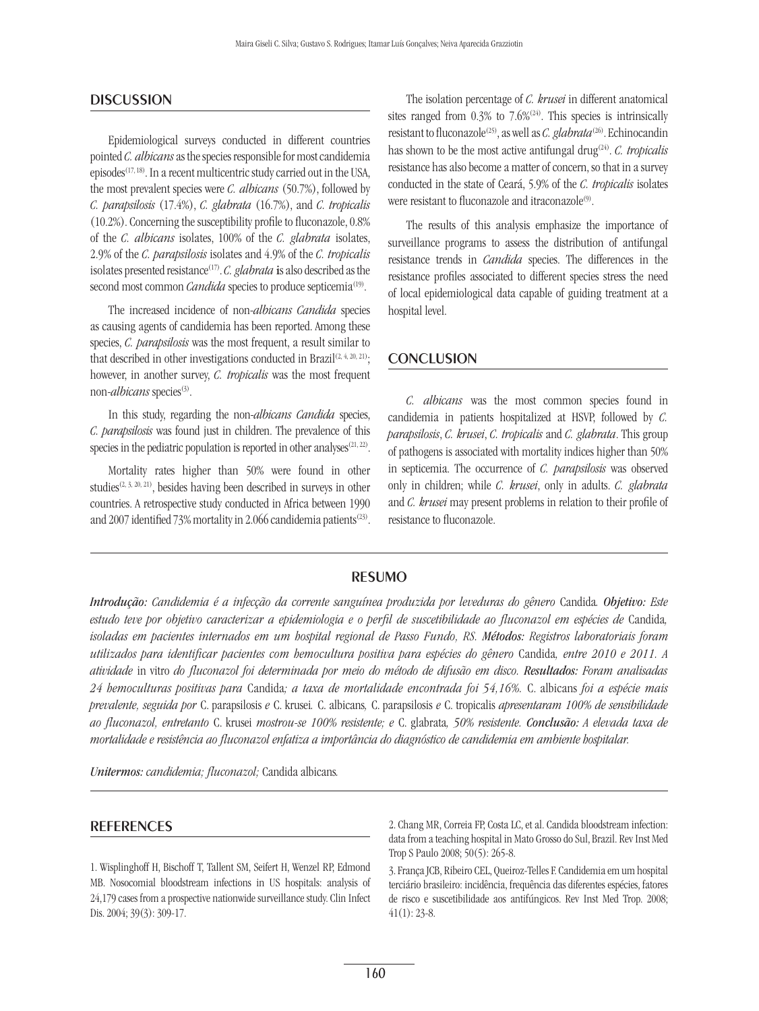#### **DISCUSSION**

Epidemiological surveys conducted in different countries pointed *C. albicans* as the species responsible for most candidemia episodes<sup>(17, 18)</sup>. In a recent multicentric study carried out in the USA, the most prevalent species were *C. albicans* (50.7%), followed by *C. parapsilosis* (17.4%), *C. glabrata* (16.7%), and *C. tropicalis* (10.2%). Concerning the susceptibility profile to fluconazole, 0.8% of the *C. albicans* isolates, 100% of the *C. glabrata* isolates, 2.9% of the *C. parapsilosis* isolates and 4.9% of the *C. tropicalis* isolates presented resistance(17). *C. glabrata* is also described as the second most common *Candida* species to produce septicemia<sup>(19)</sup>.

The increased incidence of non-*albicans Candida* species as causing agents of candidemia has been reported. Among these species, *C. parapsilosis* was the most frequent, a result similar to that described in other investigations conducted in Brazil $(2, 4, 20, 21)$ ; however, in another survey, *C. tropicalis* was the most frequent non-*albicans* species<sup>(3)</sup>.

In this study, regarding the non-*albicans Candida* species, *C. parapsilosis* was found just in children. The prevalence of this species in the pediatric population is reported in other analyses<sup> $(21, 22)$ </sup>.

Mortality rates higher than 50% were found in other studies<sup>(2, 3, 20, 21)</sup>, besides having been described in surveys in other countries. A retrospective study conducted in Africa between 1990 and 2007 identified 73% mortality in 2.066 candidemia patients<sup>(23)</sup>.

The isolation percentage of *C. krusei* in different anatomical sites ranged from  $0.3\%$  to  $7.6\%$ <sup>(24)</sup>. This species is intrinsically resistant to fluconazole<sup>(25)</sup>, as well as *C. glabrata*<sup>(26)</sup>. Echinocandin has shown to be the most active antifungal drug<sup>(24)</sup>. *C. tropicalis* resistance has also become a matter of concern, so that in a survey conducted in the state of Ceará, 5.9% of the *C. tropicalis* isolates were resistant to fluconazole and itraconazole<sup>(9)</sup>.

The results of this analysis emphasize the importance of surveillance programs to assess the distribution of antifungal resistance trends in *Candida* species. The differences in the resistance profiles associated to different species stress the need of local epidemiological data capable of guiding treatment at a hospital level.

#### **CONCLUSION**

*C. albicans* was the most common species found in candidemia in patients hospitalized at HSVP, followed by *C. parapsilosis*, *C. krusei*, *C. tropicalis* and *C. glabrata*. This group of pathogens is associated with mortality indices higher than 50% in septicemia. The occurrence of *C. parapsilosis* was observed only in children; while *C. krusei*, only in adults. *C. glabrata* and *C. krusei* may present problems in relation to their profile of resistance to fluconazole.

#### **RESUMO**

*Introdução: Candidemia é a infecção da corrente sanguínea produzida por leveduras do gênero* Candida*. Objetivo: Este estudo teve por objetivo caracterizar a epidemiologia e o perfil de suscetibilidade ao fluconazol em espécies de* Candida*, isoladas em pacientes internados em um hospital regional de Passo Fundo, RS. Métodos: Registros laboratoriais foram utilizados para identificar pacientes com hemocultura positiva para espécies do gênero* Candida*, entre 2010 e 2011. A atividade* in vitro *do fluconazol foi determinada por meio do método de difusão em disco. Resultados: Foram analisadas 24 hemoculturas positivas para* Candida*; a taxa de mortalidade encontrada foi 54,16%.* C. albicans *foi a espécie mais prevalente, seguida por* C. parapsilosis *e* C. krusei*.* C. albicans*,* C. parapsilosis *e* C. tropicalis *apresentaram 100% de sensibilidade ao fluconazol, entretanto* C. krusei *mostrou-se 100% resistente; e* C. glabrata*, 50% resistente. Conclusão: A elevada taxa de mortalidade e resistência ao fluconazol enfatiza a importância do diagnóstico de candidemia em ambiente hospitalar.*

*Unitermos: candidemia; fluconazol;* Candida albicans*.*

#### **REFERENCES**

1. Wisplinghoff H, Bischoff T, Tallent SM, Seifert H, Wenzel RP, Edmond MB. Nosocomial bloodstream infections in US hospitals: analysis of 24,179 cases from a prospective nationwide surveillance study. Clin Infect Dis. 2004; 39(3): 309-17.

2. Chang MR, Correia FP, Costa LC, et al. Candida bloodstream infection: data from a teaching hospital in Mato Grosso do Sul, Brazil. Rev Inst Med Trop S Paulo 2008; 50(5): 265-8.

3. França JCB, Ribeiro CEL, Queiroz-Telles F. Candidemia em um hospital terciário brasileiro: incidência, frequência das diferentes espécies, fatores de risco e suscetibilidade aos antifúngicos. Rev Inst Med Trop. 2008;  $41(1)$ : 23-8.